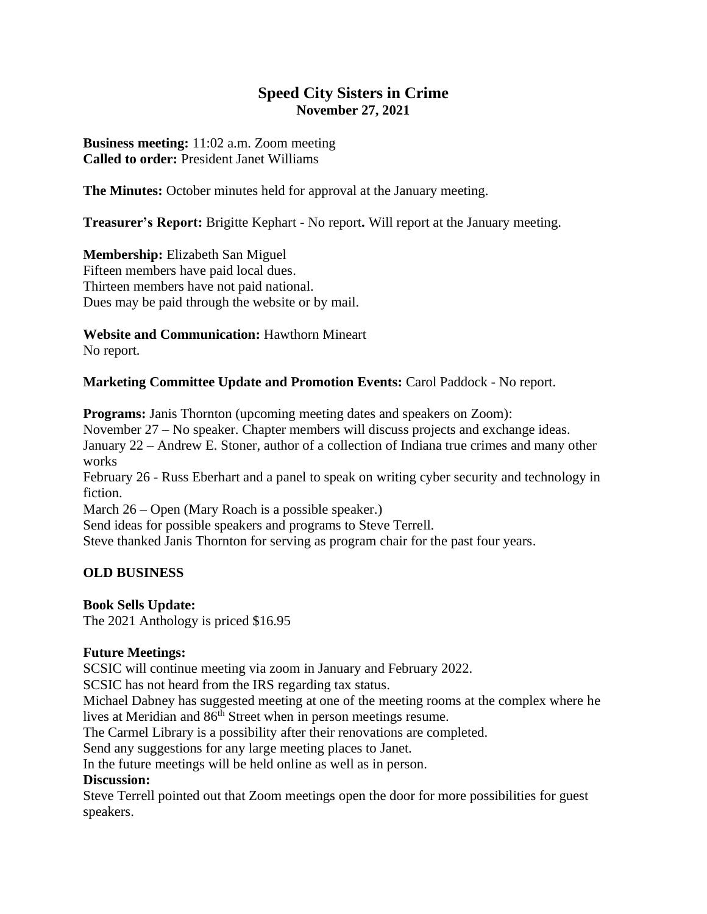# **Speed City Sisters in Crime November 27, 2021**

**Business meeting:** 11:02 a.m. Zoom meeting **Called to order:** President Janet Williams

**The Minutes:** October minutes held for approval at the January meeting.

**Treasurer's Report:** Brigitte Kephart - No report**.** Will report at the January meeting.

**Membership:** Elizabeth San Miguel Fifteen members have paid local dues. Thirteen members have not paid national. Dues may be paid through the website or by mail.

#### **Website and Communication:** Hawthorn Mineart

No report.

#### **Marketing Committee Update and Promotion Events:** Carol Paddock - No report.

**Programs:** Janis Thornton (upcoming meeting dates and speakers on Zoom):

November 27 – No speaker. Chapter members will discuss projects and exchange ideas. January 22 – Andrew E. Stoner, author of a collection of Indiana true crimes and many other works

February 26 - Russ Eberhart and a panel to speak on writing cyber security and technology in fiction.

March 26 – Open (Mary Roach is a possible speaker.)

Send ideas for possible speakers and programs to Steve Terrell.

Steve thanked Janis Thornton for serving as program chair for the past four years.

# **OLD BUSINESS**

# **Book Sells Update:**

The 2021 Anthology is priced \$16.95

# **Future Meetings:**

SCSIC will continue meeting via zoom in January and February 2022.

SCSIC has not heard from the IRS regarding tax status.

Michael Dabney has suggested meeting at one of the meeting rooms at the complex where he lives at Meridian and 86<sup>th</sup> Street when in person meetings resume.

The Carmel Library is a possibility after their renovations are completed.

Send any suggestions for any large meeting places to Janet.

In the future meetings will be held online as well as in person.

# **Discussion:**

Steve Terrell pointed out that Zoom meetings open the door for more possibilities for guest speakers.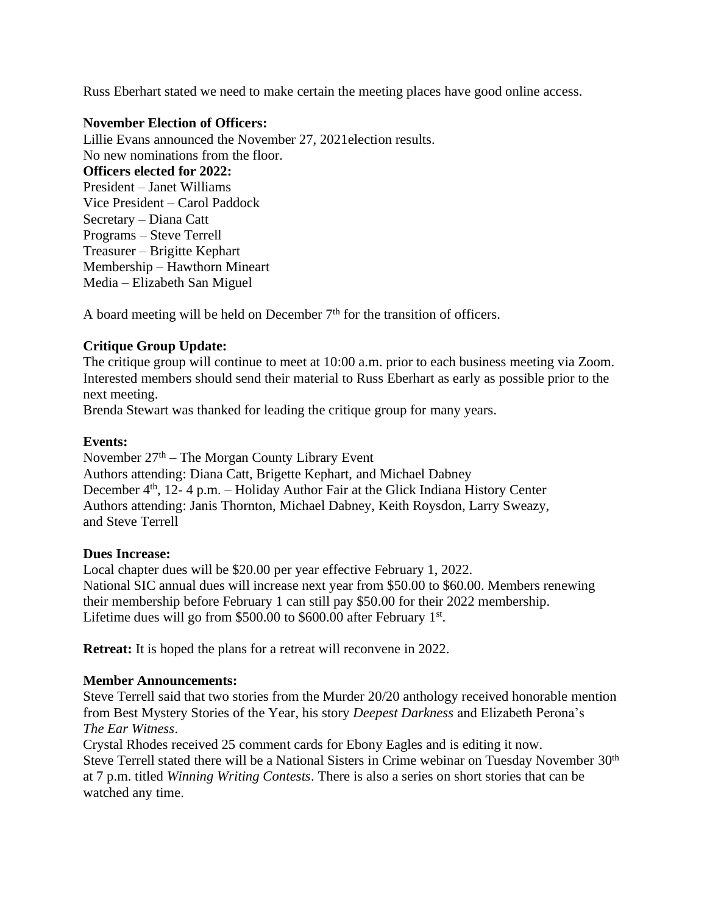Russ Eberhart stated we need to make certain the meeting places have good online access.

#### **November Election of Officers:**

Lillie Evans announced the November 27, 2021election results. No new nominations from the floor. **Officers elected for 2022:** President – Janet Williams Vice President – Carol Paddock Secretary – Diana Catt Programs – Steve Terrell Treasurer – Brigitte Kephart Membership – Hawthorn Mineart Media – Elizabeth San Miguel

A board meeting will be held on December  $7<sup>th</sup>$  for the transition of officers.

# **Critique Group Update:**

The critique group will continue to meet at 10:00 a.m. prior to each business meeting via Zoom. Interested members should send their material to Russ Eberhart as early as possible prior to the next meeting.

Brenda Stewart was thanked for leading the critique group for many years.

#### **Events:**

November  $27<sup>th</sup>$  – The Morgan County Library Event Authors attending: Diana Catt, Brigette Kephart, and Michael Dabney December 4<sup>th</sup>, 12- 4 p.m. – Holiday Author Fair at the Glick Indiana History Center Authors attending: Janis Thornton, Michael Dabney, Keith Roysdon, Larry Sweazy, and Steve Terrell

#### **Dues Increase:**

Local chapter dues will be \$20.00 per year effective February 1, 2022. National SIC annual dues will increase next year from \$50.00 to \$60.00. Members renewing their membership before February 1 can still pay \$50.00 for their 2022 membership. Lifetime dues will go from \$500.00 to \$600.00 after February  $1<sup>st</sup>$ .

**Retreat:** It is hoped the plans for a retreat will reconvene in 2022.

# **Member Announcements:**

Steve Terrell said that two stories from the Murder 20/20 anthology received honorable mention from Best Mystery Stories of the Year, his story *Deepest Darkness* and Elizabeth Perona's *The Ear Witness*.

Crystal Rhodes received 25 comment cards for Ebony Eagles and is editing it now. Steve Terrell stated there will be a National Sisters in Crime webinar on Tuesday November 30<sup>th</sup> at 7 p.m. titled *Winning Writing Contests*. There is also a series on short stories that can be watched any time.